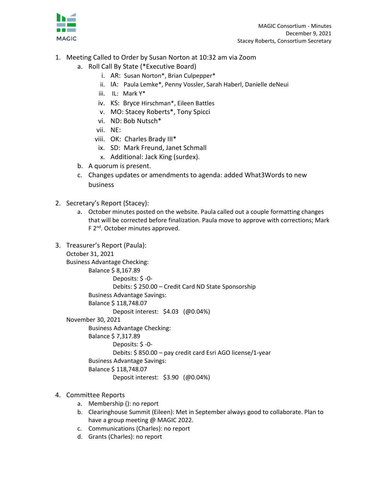

- 1. Meeting Called to Order by Susan Norton at 10:32 am via Zoom
	- a. Roll Call By State (\*Executive Board)
		- i. AR: Susan Norton\*, Brian Culpepper\*
		- ii. IA: Paula Lemke\*, Penny Vossler, Sarah Haberl, Danielle deNeui
		- iii. IL: Mark Y\*
		- iv. KS: Bryce Hirschman\*, Eileen Battles
		- v. MO: Stacey Roberts\*, Tony Spicci
		- vi. ND: Bob Nutsch\*
		- vii. NE:
		- viii. OK: Charles Brady III\*
		- ix. SD: Mark Freund, Janet Schmall
		- x. Additional: Jack King (surdex).
	- b. A quorum is present.
	- c. Changes updates or amendments to agenda: added What3Words to new business
- 2. Secretary's Report (Stacey):
	- a. October minutes posted on the website. Paula called out a couple formatting changes that will be corrected before finalization. Paula move to approve with corrections; Mark F 2<sup>nd</sup>. October minutes approved.
- 3. Treasurer's Report (Paula):

```
October 31, 2021
```
Business Advantage Checking:

```
Balance $ 8,167.89
```

```
 Deposits: $ -0-
```
Debits: \$ 250.00 – Credit Card ND State Sponsorship

Business Advantage Savings:

Balance \$ 118,748.07

Deposit interest: \$4.03 (@0.04%)

## November 30, 2021

Business Advantage Checking:

Balance \$ 7,317.89

```
 Deposits: $ -0-
```
Debits: \$ 850.00 – pay credit card Esri AGO license/1-year

```
Business Advantage Savings:
```
Balance \$ 118,748.07

```
 Deposit interest: $3.90 (@0.04%)
```
- 4. Committee Reports
	- a. Membership (): no report
	- b. Clearinghouse Summit (Eileen): Met in September always good to collaborate. Plan to have a group meeting @ MAGIC 2022.
	- c. Communications (Charles): no report
	- d. Grants (Charles): no report